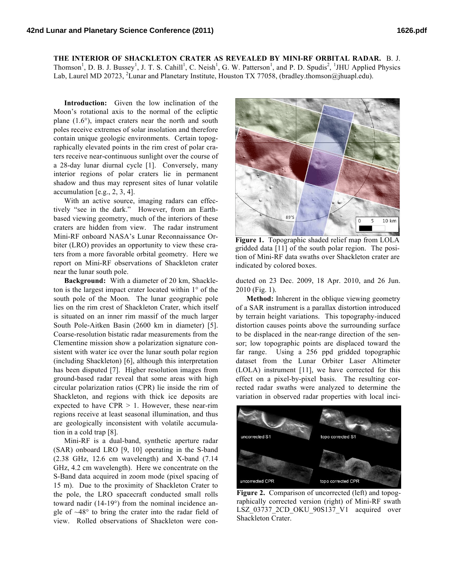**THE INTERIOR OF SHACKLETON CRATER AS REVEALED BY MINI-RF ORBITAL RADAR.** B. J. Thomson<sup>1</sup>, D. B. J. Bussey<sup>1</sup>, J. T. S. Cahill<sup>1</sup>, C. Neish<sup>1</sup>, G. W. Patterson<sup>1</sup>, and P. D. Spudis<sup>2</sup>, <sup>1</sup>JHU Applied Physics Lab, Laurel MD 20723, <sup>2</sup>Lunar and Planetary Institute, Houston TX 77058, (bradley.thomson@jhuapl.edu).

**Introduction:** Given the low inclination of the Moon's rotational axis to the normal of the ecliptic plane  $(1.6^{\circ})$ , impact craters near the north and south poles receive extremes of solar insolation and therefore contain unique geologic environments. Certain topographically elevated points in the rim crest of polar craters receive near-continuous sunlight over the course of a 28-day lunar diurnal cycle [1]. Conversely, many interior regions of polar craters lie in permanent shadow and thus may represent sites of lunar volatile accumulation [e.g., 2, 3, 4].

With an active source, imaging radars can effectively "see in the dark." However, from an Earthbased viewing geometry, much of the interiors of these craters are hidden from view. The radar instrument Mini-RF onboard NASA's Lunar Reconnaissance Orbiter (LRO) provides an opportunity to view these craters from a more favorable orbital geometry. Here we report on Mini-RF observations of Shackleton crater near the lunar south pole.

**Background:** With a diameter of 20 km, Shackleton is the largest impact crater located within 1° of the south pole of the Moon. The lunar geographic pole lies on the rim crest of Shackleton Crater, which itself is situated on an inner rim massif of the much larger South Pole-Aitken Basin (2600 km in diameter) [5]. Coarse-resolution bistatic radar measurements from the Clementine mission show a polarization signature consistent with water ice over the lunar south polar region (including Shackleton) [6], although this interpretation has been disputed [7]. Higher resolution images from ground-based radar reveal that some areas with high circular polarization ratios (CPR) lie inside the rim of Shackleton, and regions with thick ice deposits are expected to have  $CPR > 1$ . However, these near-rim regions receive at least seasonal illumination, and thus are geologically inconsistent with volatile accumulation in a cold trap [8].

Mini-RF is a dual-band, synthetic aperture radar (SAR) onboard LRO [9, 10] operating in the S-band (2.38 GHz, 12.6 cm wavelength) and X-band (7.14 GHz, 4.2 cm wavelength). Here we concentrate on the S-Band data acquired in zoom mode (pixel spacing of 15 m). Due to the proximity of Shackleton Crater to the pole, the LRO spacecraft conducted small rolls toward nadir (14-19°) from the nominal incidence angle of  $~48^\circ$  to bring the crater into the radar field of view. Rolled observations of Shackleton were con-



**Figure 1.** Topographic shaded relief map from LOLA gridded data [11] of the south polar region. The position of Mini-RF data swaths over Shackleton crater are indicated by colored boxes.

ducted on 23 Dec. 2009, 18 Apr. 2010, and 26 Jun. 2010 (Fig. 1).

**Method:** Inherent in the oblique viewing geometry of a SAR instrument is a parallax distortion introduced by terrain height variations. This topography-induced distortion causes points above the surrounding surface to be displaced in the near-range direction of the sensor; low topographic points are displaced toward the far range. Using a 256 ppd gridded topographic dataset from the Lunar Orbiter Laser Altimeter (LOLA) instrument [11], we have corrected for this effect on a pixel-by-pixel basis. The resulting corrected radar swaths were analyzed to determine the variation in observed radar properties with local inci-



Figure 2. Comparison of uncorrected (left) and topographically corrected version (right) of Mini-RF swath LSZ 03737 2CD OKU 90S137 V1 acquired over Shackleton Crater.